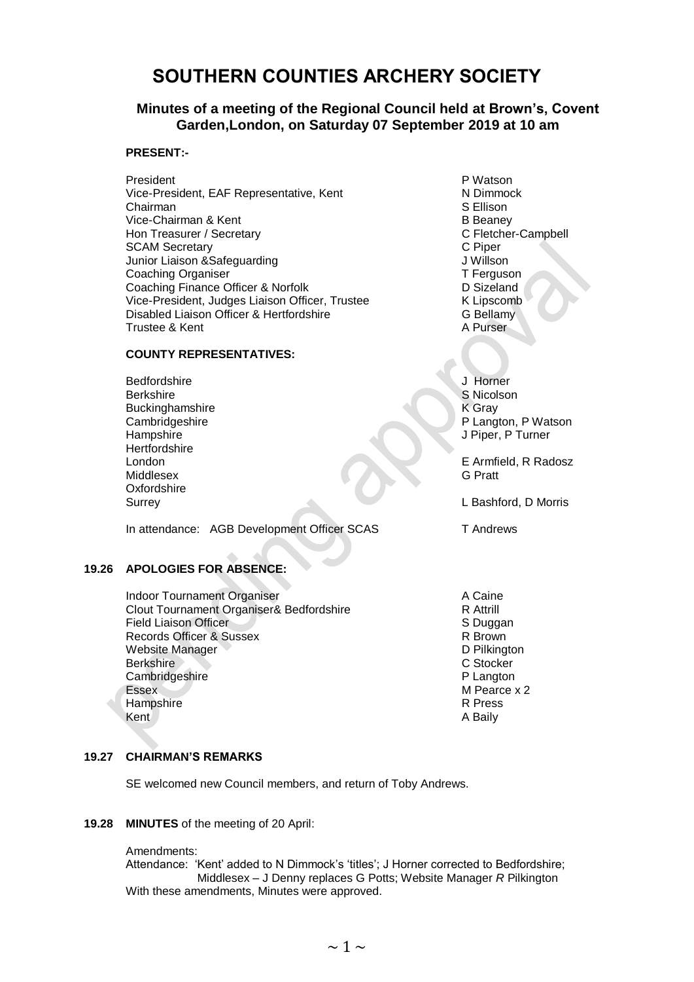# **SOUTHERN COUNTIES ARCHERY SOCIETY**

## **Minutes of a meeting of the Regional Council held at Brown's, Covent Garden,London, on Saturday 07 September 2019 at 10 am**

#### **PRESENT:-**

President **P** Watson Vice-President, EAF Representative, Kent North N Dimmock Chairman S Ellison Vice-Chairman & Kent B Beaney Hon Treasurer / Secretary Campbell **C** Fletcher-Campbell SCAM Secretary<br>
Junior Liaison & Safeguarding<br>
J Willson Junior Liaison &Safeguarding Coaching Organiser<br>
Coaching Finance Officer & Norfolk<br>
D Sizeland Coaching Finance Officer & Norfolk Vice-President, Judges Liaison Officer, Trustee K Lipscomb<br>
Disabled Liaison Officer & Hertfordshire (G Bellamy Disabled Liaison Officer & Hertfordshire Trustee & Kent A Purser

#### **COUNTY REPRESENTATIVES:**

Bedfordshire **J** Horner Berkshire S Nicolson Buckinghamshire K Gray Hampshire J Piper, P Turner **Hertfordshire** Middlesex G Pratt Oxfordshire<br>Surrey

In attendance: AGB Development Officer SCAS T Andrews

#### **19.26 APOLOGIES FOR ABSENCE:**

Indoor Tournament Organiser<br>Clout Tournament Organiser& Bedfordshire<br>R Attrill Clout Tournament Organiser& Bedfordshire<br>
Field Liaison Officer<br>
S Duggan Field Liaison Officer Contract Contract Contract Contract Contract Contract Contract Contract Contract Contract Contract Contract Contract Contract Contract Contract Contract Contract Contract Contract Contract Contract Co Records Officer & Sussex Website Manager National Contract of the D Pilkington D Pilkington D Pilkington D Pilkington D Pilkington D Pilkington D Pilkington D Pilkington D Pilkington D Pilkington D Pilkington D Pilkington D Pilkington D Pilkington Berkshire Cambridgeshire **P** Langton Essex M Pearce x 2 Hampshire R Press Kent A Baily A Baily A Baily A Baily A Baily

Cambridgeshire **P Langton, P Watson** 

London E Armfield, R Radosz

L Bashford, D Morris

#### **19.27 CHAIRMAN'S REMARKS**

SE welcomed new Council members, and return of Toby Andrews.

#### **19.28 MINUTES** of the meeting of 20 April:

#### Amendments:

Attendance: 'Kent' added to N Dimmock's 'titles'; J Horner corrected to Bedfordshire; Middlesex – J Denny replaces G Potts; Website Manager *R* Pilkington With these amendments, Minutes were approved.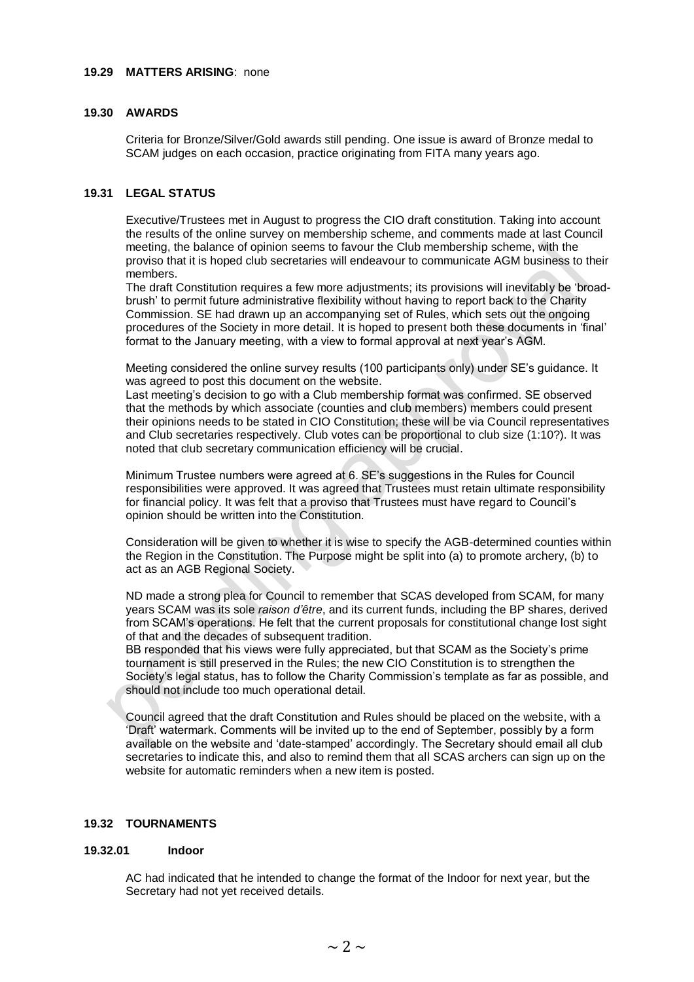#### **19.29 MATTERS ARISING**: none

#### **19.30 AWARDS**

Criteria for Bronze/Silver/Gold awards still pending. One issue is award of Bronze medal to SCAM judges on each occasion, practice originating from FITA many years ago.

#### **19.31 LEGAL STATUS**

Executive/Trustees met in August to progress the CIO draft constitution. Taking into account the results of the online survey on membership scheme, and comments made at last Council meeting, the balance of opinion seems to favour the Club membership scheme, with the proviso that it is hoped club secretaries will endeavour to communicate AGM business to their members.

The draft Constitution requires a few more adjustments; its provisions will inevitably be 'broadbrush' to permit future administrative flexibility without having to report back to the Charity Commission. SE had drawn up an accompanying set of Rules, which sets out the ongoing procedures of the Society in more detail. It is hoped to present both these documents in 'final' format to the January meeting, with a view to formal approval at next year's AGM.

Meeting considered the online survey results (100 participants only) under SE's guidance. It was agreed to post this document on the website.

Last meeting's decision to go with a Club membership format was confirmed. SE observed that the methods by which associate (counties and club members) members could present their opinions needs to be stated in CIO Constitution; these will be via Council representatives and Club secretaries respectively. Club votes can be proportional to club size (1:10?). It was noted that club secretary communication efficiency will be crucial.

Minimum Trustee numbers were agreed at 6. SE's suggestions in the Rules for Council responsibilities were approved. It was agreed that Trustees must retain ultimate responsibility for financial policy. It was felt that a proviso that Trustees must have regard to Council's opinion should be written into the Constitution.

Consideration will be given to whether it is wise to specify the AGB-determined counties within the Region in the Constitution. The Purpose might be split into (a) to promote archery, (b) to act as an AGB Regional Society.

ND made a strong plea for Council to remember that SCAS developed from SCAM, for many years SCAM was its sole *raison d'être*, and its current funds, including the BP shares, derived from SCAM's operations. He felt that the current proposals for constitutional change lost sight of that and the decades of subsequent tradition.

BB responded that his views were fully appreciated, but that SCAM as the Society's prime tournament is still preserved in the Rules; the new CIO Constitution is to strengthen the Society's legal status, has to follow the Charity Commission's template as far as possible, and should not include too much operational detail.

Council agreed that the draft Constitution and Rules should be placed on the website, with a 'Draft' watermark. Comments will be invited up to the end of September, possibly by a form available on the website and 'date-stamped' accordingly. The Secretary should email all club secretaries to indicate this, and also to remind them that all SCAS archers can sign up on the website for automatic reminders when a new item is posted.

### **19.32 TOURNAMENTS**

#### **19.32.01 Indoor**

AC had indicated that he intended to change the format of the Indoor for next year, but the Secretary had not yet received details.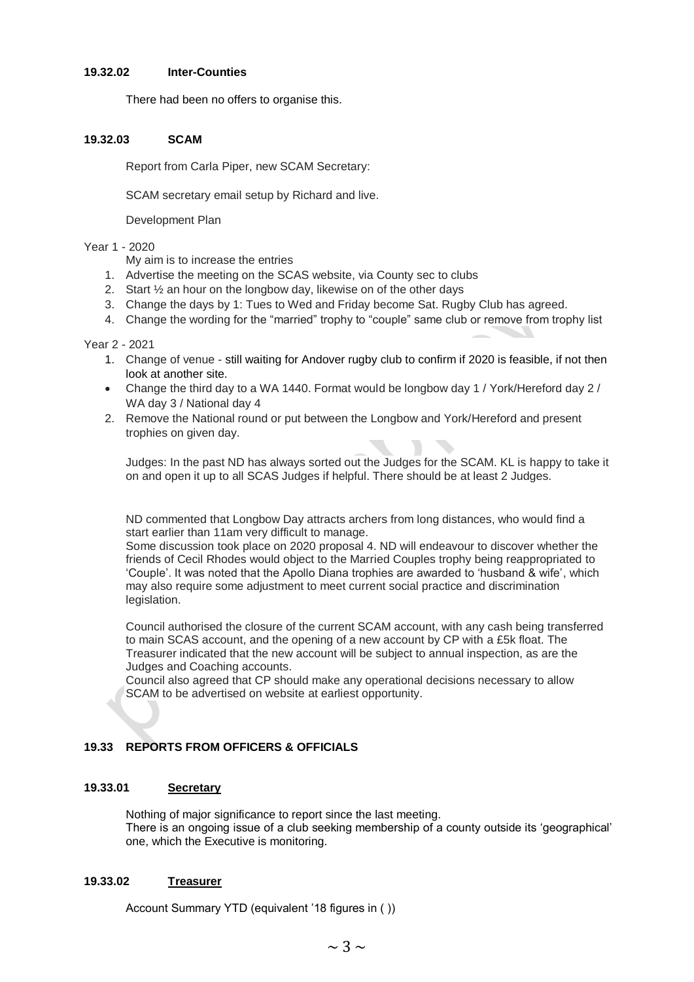#### **19.32.02 Inter-Counties**

There had been no offers to organise this.

#### **19.32.03 SCAM**

Report from Carla Piper, new SCAM Secretary:

SCAM secretary email setup by Richard and live.

Development Plan

#### Year 1 - 2020

- My aim is to increase the entries
- 1. Advertise the meeting on the SCAS website, via County sec to clubs
- 2. Start ½ an hour on the longbow day, likewise on of the other days
- 3. Change the days by 1: Tues to Wed and Friday become Sat. Rugby Club has agreed.
- 4. Change the wording for the "married" trophy to "couple" same club or remove from trophy list

#### Year 2 - 2021

- 1. Change of venue still waiting for Andover rugby club to confirm if 2020 is feasible, if not then look at another site.
- Change the third day to a WA 1440. Format would be longbow day 1 / York/Hereford day 2 / WA day 3 / National day 4
- 2. Remove the National round or put between the Longbow and York/Hereford and present trophies on given day.

Judges: In the past ND has always sorted out the Judges for the SCAM. KL is happy to take it on and open it up to all SCAS Judges if helpful. There should be at least 2 Judges.

ND commented that Longbow Day attracts archers from long distances, who would find a start earlier than 11am very difficult to manage.

Some discussion took place on 2020 proposal 4. ND will endeavour to discover whether the friends of Cecil Rhodes would object to the Married Couples trophy being reappropriated to 'Couple'. It was noted that the Apollo Diana trophies are awarded to 'husband & wife', which may also require some adjustment to meet current social practice and discrimination legislation.

Council authorised the closure of the current SCAM account, with any cash being transferred to main SCAS account, and the opening of a new account by CP with a £5k float. The Treasurer indicated that the new account will be subject to annual inspection, as are the Judges and Coaching accounts.

Council also agreed that CP should make any operational decisions necessary to allow SCAM to be advertised on website at earliest opportunity.

#### **19.33 REPORTS FROM OFFICERS & OFFICIALS**

#### **19.33.01 Secretary**

Nothing of major significance to report since the last meeting. There is an ongoing issue of a club seeking membership of a county outside its 'geographical' one, which the Executive is monitoring.

#### **19.33.02 Treasurer**

Account Summary YTD (equivalent '18 figures in ( ))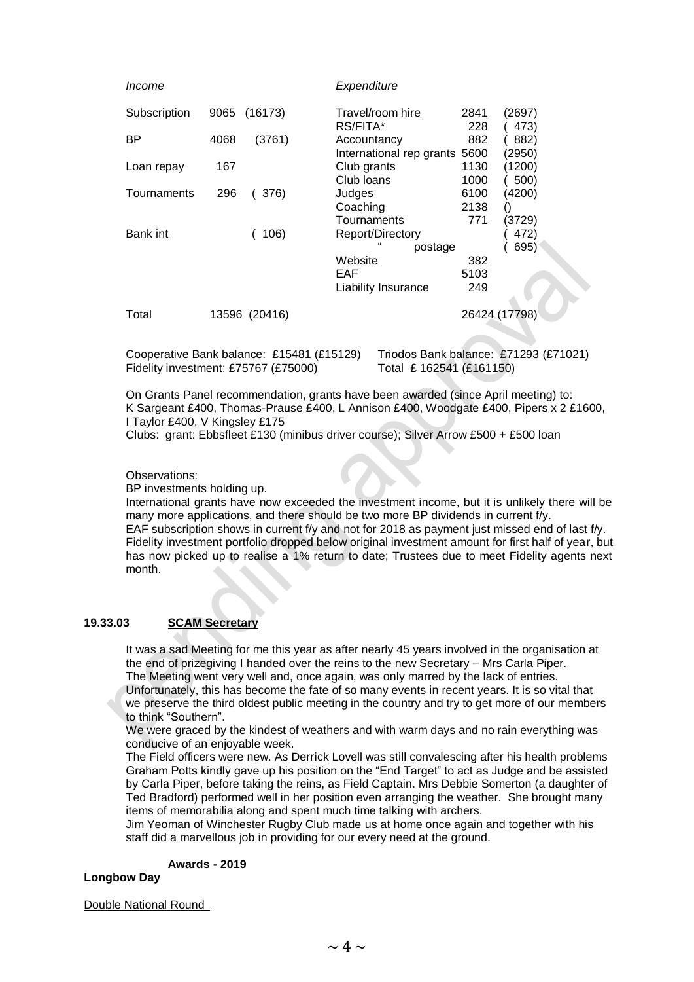#### *Income Expenditure*

| Subscription | 9065 | (16173)       | Travel/room hire              | 2841          | (2697) |
|--------------|------|---------------|-------------------------------|---------------|--------|
|              |      |               | RS/FITA*                      | 228           | 473)   |
| <b>BP</b>    | 4068 | (3761)        | Accountancy                   | 882           | 882)   |
|              |      |               | International rep grants 5600 |               | (2950) |
| Loan repay   | 167  |               | Club grants                   | 1130          | (1200) |
|              |      |               | Club Ioans                    | 1000          | 500)   |
| Tournaments  | 296  | (376)         | Judges                        | 6100          | (4200) |
|              |      |               | Coaching                      | 2138          |        |
|              |      |               | Tournaments                   | 771           | (3729) |
| Bank int     |      | 106)          | Report/Directory              |               | 472)   |
|              |      |               | postage                       |               | 695)   |
|              |      |               | Website                       | 382           |        |
|              |      |               | EAF                           | 5103          |        |
|              |      |               | <b>Liability Insurance</b>    | 249           |        |
| Total        |      | 13596 (20416) |                               | 26424 (17798) |        |

Cooperative Bank balance: £15481 (£15129) Triodos Bank balance: £71293 (£71021) Fidelity investment: £75767 (£75000) Total £ 162541 (£161150)

On Grants Panel recommendation, grants have been awarded (since April meeting) to: K Sargeant £400, Thomas-Prause £400, L Annison £400, Woodgate £400, Pipers x 2 £1600, I Taylor £400, V Kingsley £175

Clubs: grant: Ebbsfleet £130 (minibus driver course); Silver Arrow £500 + £500 loan

#### Observations:

BP investments holding up.

International grants have now exceeded the investment income, but it is unlikely there will be many more applications, and there should be two more BP dividends in current f/y. EAF subscription shows in current f/y and not for 2018 as payment just missed end of last f/y. Fidelity investment portfolio dropped below original investment amount for first half of year, but has now picked up to realise a 1% return to date; Trustees due to meet Fidelity agents next month.

#### **19.33.03 SCAM Secretary**

It was a sad Meeting for me this year as after nearly 45 years involved in the organisation at the end of prizegiving I handed over the reins to the new Secretary – Mrs Carla Piper.

The Meeting went very well and, once again, was only marred by the lack of entries.

Unfortunately, this has become the fate of so many events in recent years. It is so vital that we preserve the third oldest public meeting in the country and try to get more of our members to think "Southern".

We were graced by the kindest of weathers and with warm days and no rain everything was conducive of an enjoyable week.

The Field officers were new. As Derrick Lovell was still convalescing after his health problems Graham Potts kindly gave up his position on the "End Target" to act as Judge and be assisted by Carla Piper, before taking the reins, as Field Captain. Mrs Debbie Somerton (a daughter of Ted Bradford) performed well in her position even arranging the weather. She brought many items of memorabilia along and spent much time talking with archers.

Jim Yeoman of Winchester Rugby Club made us at home once again and together with his staff did a marvellous job in providing for our every need at the ground.

#### **Awards - 2019**

#### **Longbow Day**

Double National Round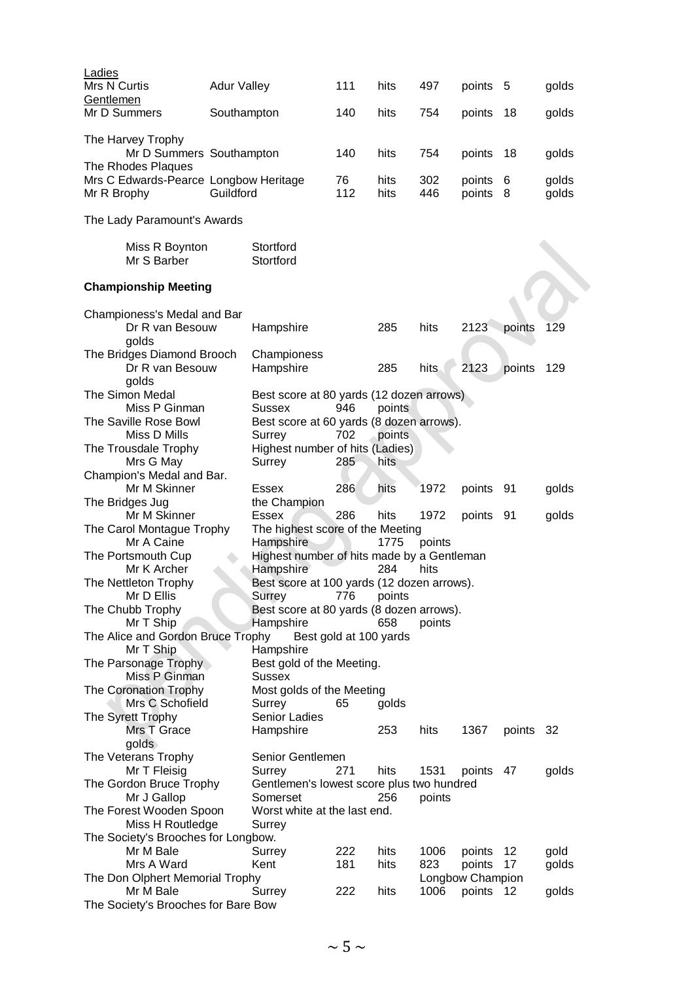| Ladies                                         |                    |                                            |                        |        |        |                  |           |       |
|------------------------------------------------|--------------------|--------------------------------------------|------------------------|--------|--------|------------------|-----------|-------|
| Mrs N Curtis                                   | <b>Adur Valley</b> |                                            | 111                    | hits   | 497    | points 5         |           | golds |
| Gentlemen                                      |                    |                                            |                        |        |        |                  |           |       |
| Mr D Summers                                   | Southampton        |                                            | 140                    | hits   | 754    | points           | 18        | golds |
| The Harvey Trophy<br>Mr D Summers Southampton  |                    |                                            | 140                    | hits   | 754    | points           | 18        | golds |
| The Rhodes Plaques                             |                    |                                            |                        |        |        |                  |           |       |
| Mrs C Edwards-Pearce Longbow Heritage          |                    |                                            | 76                     | hits   | 302    | points           | 6         | golds |
| Mr R Brophy                                    | Guildford          |                                            | 112                    | hits   | 446    | points           | -8        | golds |
| The Lady Paramount's Awards                    |                    |                                            |                        |        |        |                  |           |       |
| Miss R Boynton                                 |                    | Stortford                                  |                        |        |        |                  |           |       |
| Mr S Barber                                    |                    | Stortford                                  |                        |        |        |                  |           |       |
| <b>Championship Meeting</b>                    |                    |                                            |                        |        |        |                  |           |       |
| Championess's Medal and Bar                    |                    |                                            |                        |        |        |                  |           |       |
| Dr R van Besouw<br>golds                       |                    | Hampshire                                  |                        | 285    | hits   | 2123             | points    | 129   |
| The Bridges Diamond Brooch                     |                    | Championess                                |                        |        |        |                  |           |       |
| Dr R van Besouw<br>golds                       |                    | Hampshire                                  |                        | 285    | hits   | 2123             | points    | 129   |
| The Simon Medal                                |                    | Best score at 80 yards (12 dozen arrows)   |                        |        |        |                  |           |       |
| Miss P Ginman                                  |                    | <b>Sussex</b>                              | 946                    | points |        |                  |           |       |
| The Saville Rose Bowl                          |                    | Best score at 60 yards (8 dozen arrows).   |                        |        |        |                  |           |       |
| Miss D Mills                                   |                    | Surrey                                     | 702                    | points |        |                  |           |       |
| The Trousdale Trophy                           |                    | Highest number of hits (Ladies)            |                        |        |        |                  |           |       |
| Mrs G May                                      |                    | Surrey                                     | 285                    | hits   |        |                  |           |       |
| Champion's Medal and Bar.                      |                    |                                            |                        |        |        |                  |           |       |
| Mr M Skinner                                   |                    | <b>Essex</b>                               | 286                    | hits   | 1972   | points           | 91        | golds |
| The Bridges Jug                                |                    | the Champion                               |                        |        |        |                  |           |       |
| Mr M Skinner                                   |                    | Essex                                      | 286                    | hits   | 1972   | points           | -91       | golds |
| The Carol Montague Trophy                      |                    | The highest score of the Meeting           |                        |        |        |                  |           |       |
| Mr A Caine                                     |                    | Hampshire                                  |                        | 1775   | points |                  |           |       |
| The Portsmouth Cup                             |                    | Highest number of hits made by a Gentleman |                        |        |        |                  |           |       |
| Mr K Archer                                    |                    | Hampshire                                  |                        | 284    | hits   |                  |           |       |
| The Nettleton Trophy                           |                    | Best score at 100 yards (12 dozen arrows). |                        |        |        |                  |           |       |
| Mr D Ellis                                     |                    | Surrey                                     | 776                    | points |        |                  |           |       |
| The Chubb Trophy                               |                    | Best score at 80 yards (8 dozen arrows).   |                        |        |        |                  |           |       |
| Mr T Ship                                      |                    | Hampshire                                  |                        | 658    | points |                  |           |       |
| The Alice and Gordon Bruce Trophy<br>Mr T Ship |                    | Hampshire                                  | Best gold at 100 yards |        |        |                  |           |       |
| The Parsonage Trophy                           |                    | Best gold of the Meeting.                  |                        |        |        |                  |           |       |
| Miss P Ginman                                  |                    | <b>Sussex</b>                              |                        |        |        |                  |           |       |
| <b>The Coronation Trophy</b>                   |                    | Most golds of the Meeting                  |                        |        |        |                  |           |       |
| Mrs C Schofield                                |                    | Surrey                                     | 65                     | golds  |        |                  |           |       |
| The Syrett Trophy                              |                    | Senior Ladies                              |                        |        |        |                  |           |       |
| Mrs T Grace                                    |                    | Hampshire                                  |                        | 253    | hits   | 1367             | points 32 |       |
| golds                                          |                    |                                            |                        |        |        |                  |           |       |
| The Veterans Trophy                            |                    | Senior Gentlemen                           |                        |        |        |                  |           |       |
| Mr T Fleisig                                   |                    | Surrey                                     | 271                    | hits   | 1531   | points 47        |           | golds |
| The Gordon Bruce Trophy                        |                    | Gentlemen's lowest score plus two hundred  |                        |        |        |                  |           |       |
| Mr J Gallop                                    |                    | Somerset                                   |                        | 256    | points |                  |           |       |
| The Forest Wooden Spoon                        |                    | Worst white at the last end.               |                        |        |        |                  |           |       |
| Miss H Routledge                               |                    | Surrey                                     |                        |        |        |                  |           |       |
| The Society's Brooches for Longbow.            |                    |                                            |                        |        |        |                  |           |       |
| Mr M Bale                                      |                    | Surrey                                     | 222                    | hits   | 1006   | points           | 12        | gold  |
| Mrs A Ward                                     |                    | Kent                                       | 181                    | hits   | 823    | points           | 17        | golds |
| The Don Olphert Memorial Trophy                |                    |                                            |                        |        |        | Longbow Champion |           |       |
| Mr M Bale                                      |                    | Surrey                                     | 222                    | hits   | 1006   | points 12        |           | golds |
| The Society's Brooches for Bare Bow            |                    |                                            |                        |        |        |                  |           |       |
|                                                |                    |                                            |                        |        |        |                  |           |       |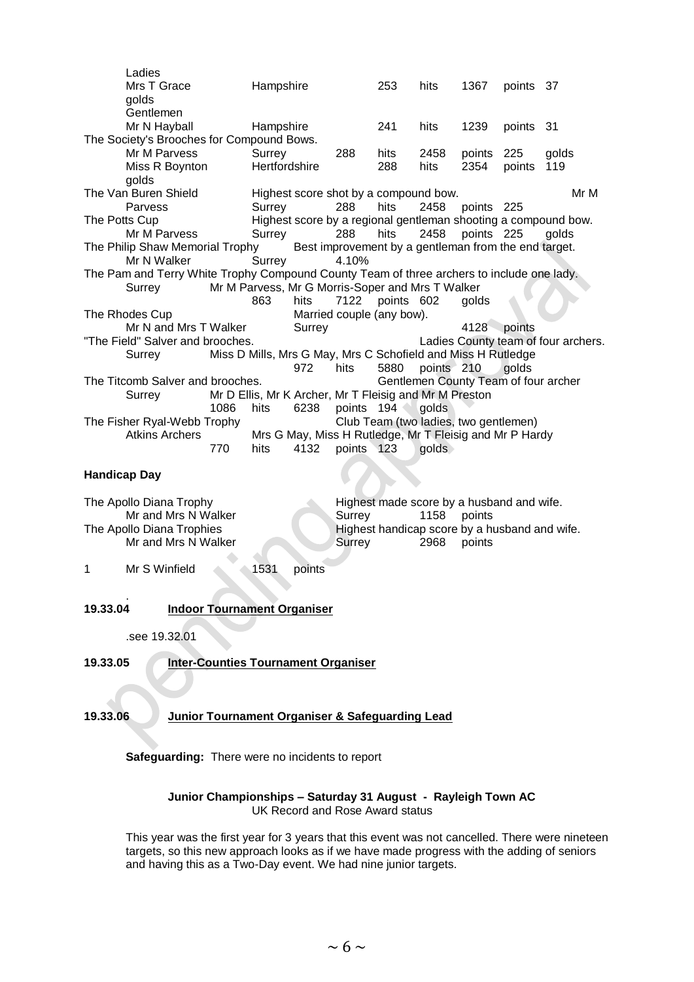| Ladies                                                                                    |      |                                                              |        |                                                         |                 |                                           |            |           |                                                                |
|-------------------------------------------------------------------------------------------|------|--------------------------------------------------------------|--------|---------------------------------------------------------|-----------------|-------------------------------------------|------------|-----------|----------------------------------------------------------------|
| Mrs T Grace                                                                               |      | Hampshire                                                    |        |                                                         | 253             | hits                                      | 1367       | points 37 |                                                                |
| golds                                                                                     |      |                                                              |        |                                                         |                 |                                           |            |           |                                                                |
| Gentlemen                                                                                 |      |                                                              |        |                                                         |                 |                                           |            |           |                                                                |
| Mr N Hayball                                                                              |      | Hampshire                                                    |        |                                                         | 241             | hits                                      | 1239       | points 31 |                                                                |
| The Society's Brooches for Compound Bows.                                                 |      |                                                              |        |                                                         |                 |                                           |            |           |                                                                |
| Mr M Parvess                                                                              |      | Surrey                                                       |        | 288                                                     | hits            | 2458                                      | points 225 |           | golds                                                          |
| Miss R Boynton<br>golds                                                                   |      | Hertfordshire                                                |        |                                                         | 288             | hits                                      | 2354       | points    | 119                                                            |
| The Van Buren Shield                                                                      |      |                                                              |        | Highest score shot by a compound bow.                   |                 |                                           |            |           | Mr M                                                           |
| Parvess                                                                                   |      | Surrey                                                       |        | 288                                                     | hits            | 2458                                      | points 225 |           |                                                                |
| The Potts Cup                                                                             |      |                                                              |        |                                                         |                 |                                           |            |           | Highest score by a regional gentleman shooting a compound bow. |
| Mr M Parvess                                                                              |      | Surrey                                                       |        | 288                                                     | hits            | 2458                                      | points 225 |           | golds                                                          |
| The Philip Shaw Memorial Trophy Best improvement by a gentleman from the end target.      |      |                                                              |        |                                                         |                 |                                           |            |           |                                                                |
| Mr N Walker                                                                               |      | Surrey                                                       |        | 4.10%                                                   |                 |                                           |            |           |                                                                |
| The Pam and Terry White Trophy Compound County Team of three archers to include one lady. |      |                                                              |        |                                                         |                 |                                           |            |           |                                                                |
| Surrey                                                                                    |      | Mr M Parvess, Mr G Morris-Soper and Mrs T Walker             |        |                                                         |                 |                                           |            |           |                                                                |
|                                                                                           |      | 863                                                          | hits   |                                                         | 7122 points 602 |                                           | golds      |           |                                                                |
| The Rhodes Cup                                                                            |      |                                                              |        | Married couple (any bow).                               |                 |                                           |            |           |                                                                |
| Mr N and Mrs T Walker                                                                     |      |                                                              | Surrey |                                                         |                 |                                           | 4128       | points    |                                                                |
| "The Field" Salver and brooches.                                                          |      |                                                              |        |                                                         |                 |                                           |            |           | Ladies County team of four archers.                            |
| Surrey                                                                                    |      | Miss D Mills, Mrs G May, Mrs C Schofield and Miss H Rutledge |        |                                                         |                 |                                           |            |           |                                                                |
|                                                                                           |      |                                                              | 972    | hits                                                    | 5880            | points 210                                |            | golds     |                                                                |
| The Titcomb Salver and brooches.                                                          |      |                                                              |        |                                                         |                 | Gentlemen County Team of four archer      |            |           |                                                                |
| Surrey                                                                                    |      | Mr D Ellis, Mr K Archer, Mr T Fleisig and Mr M Preston       |        |                                                         |                 |                                           |            |           |                                                                |
|                                                                                           | 1086 | hits                                                         | 6238   | points 194                                              |                 | golds                                     |            |           |                                                                |
| The Fisher Ryal-Webb Trophy                                                               |      |                                                              |        |                                                         |                 | Club Team (two ladies, two gentlemen)     |            |           |                                                                |
| <b>Atkins Archers</b>                                                                     |      |                                                              |        | Mrs G May, Miss H Rutledge, Mr T Fleisig and Mr P Hardy |                 |                                           |            |           |                                                                |
|                                                                                           | 770  | hits                                                         | 4132   | points 123                                              |                 | golds                                     |            |           |                                                                |
| <b>Handicap Day</b>                                                                       |      |                                                              |        |                                                         |                 |                                           |            |           |                                                                |
| The Apollo Diana Trophy                                                                   |      |                                                              |        |                                                         |                 | Highest made score by a husband and wife. |            |           |                                                                |
| Mr and Mrs N Walker                                                                       |      |                                                              |        | Surrev                                                  |                 | 1158 points                               |            |           |                                                                |

Mr and Mrs N Walker **Surrey Surrey 1158** points The Apollo Diana Trophies **Highest handicap score by a husband and wife.** Mr and Mrs N Walker Surrey 2968 points

1 Mr S Winfield 1531 points

#### 19.33.04 **19.33.04 Indoor Tournament Organiser**

.see 19.32.01

**19.33.05 Inter-Counties Tournament Organiser**

### **19.33.06 Junior Tournament Organiser & Safeguarding Lead**

**Safeguarding:** There were no incidents to report

#### **Junior Championships – Saturday 31 August - Rayleigh Town AC** UK Record and Rose Award status

This year was the first year for 3 years that this event was not cancelled. There were nineteen targets, so this new approach looks as if we have made progress with the adding of seniors and having this as a Two-Day event. We had nine junior targets.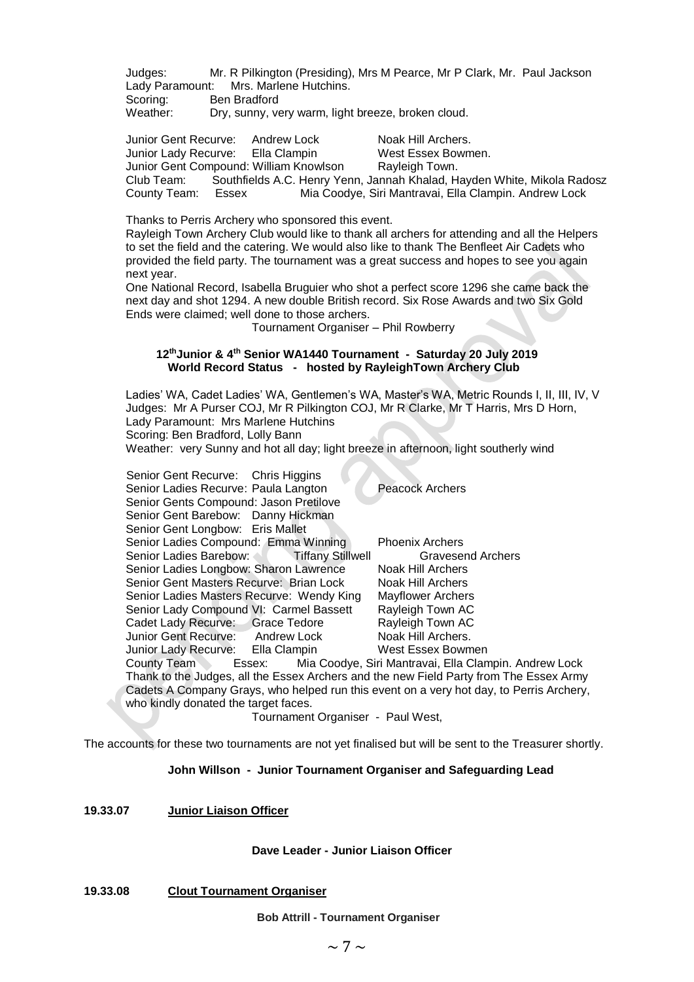Judges: Mr. R Pilkington (Presiding), Mrs M Pearce, Mr P Clark, Mr. Paul Jackson Lady Paramount: Mrs. Marlene Hutchins.<br>Scoring: Ben Bradford

Scoring: Ben Bradford<br>
Weather: Drv. sunny. v

Dry, sunny, very warm, light breeze, broken cloud.

Junior Gent Recurve: Andrew Lock Noak Hill Archers. Junior Lady Recurve: Ella Clampin West Essex Bowmen. Junior Gent Compound: William Knowlson Rayleigh Town. Club Team: Southfields A.C. Henry Yenn, Jannah Khalad, Hayden White, Mikola Radosz County Team: Essex Mia Coodye, Siri Mantravai, Ella Clampin. Andrew Lock

Thanks to Perris Archery who sponsored this event.

Rayleigh Town Archery Club would like to thank all archers for attending and all the Helpers to set the field and the catering. We would also like to thank The Benfleet Air Cadets who provided the field party. The tournament was a great success and hopes to see you again next year.

One National Record, Isabella Bruguier who shot a perfect score 1296 she came back the next day and shot 1294. A new double British record. Six Rose Awards and two Six Gold Ends were claimed; well done to those archers.

Tournament Organiser – Phil Rowberry

#### **12thJunior & 4th Senior WA1440 Tournament - Saturday 20 July 2019 World Record Status - hosted by RayleighTown Archery Club**

Ladies' WA, Cadet Ladies' WA, Gentlemen's WA, Master's WA, Metric Rounds I, II, III, IV, V Judges: Mr A Purser COJ, Mr R Pilkington COJ, Mr R Clarke, Mr T Harris, Mrs D Horn, Lady Paramount: Mrs Marlene Hutchins Scoring: Ben Bradford, Lolly Bann Weather: very Sunny and hot all day; light breeze in afternoon, light southerly wind

| Senior Gent Recurve: Chris Higgins<br>Senior Ladies Recurve: Paula Langton<br>Senior Gents Compound: Jason Pretilove<br>Senior Gent Barebow: Danny Hickman |                                   | Peacock Archers                                                                         |
|------------------------------------------------------------------------------------------------------------------------------------------------------------|-----------------------------------|-----------------------------------------------------------------------------------------|
| Senior Gent Longbow: Eris Mallet<br>Senior Ladies Compound: Emma Winning                                                                                   |                                   | <b>Phoenix Archers</b>                                                                  |
|                                                                                                                                                            |                                   | Gravesend Archers                                                                       |
| Senior Ladies Longbow: Sharon Lawrence                                                                                                                     |                                   | Noak Hill Archers                                                                       |
| Senior Gent Masters Recurve: Brian Lock                                                                                                                    |                                   | Noak Hill Archers                                                                       |
| Senior Ladies Masters Recurve: Wendy King                                                                                                                  |                                   | <b>Mayflower Archers</b>                                                                |
| Senior Lady Compound VI: Carmel Bassett                                                                                                                    |                                   | Rayleigh Town AC                                                                        |
| Cadet Lady Recurve: Grace Tedore                                                                                                                           |                                   | Rayleigh Town AC                                                                        |
| Junior Gent Recurve: Andrew Lock                                                                                                                           |                                   | Noak Hill Archers.                                                                      |
| Junior Lady Recurve: Ella Clampin                                                                                                                          |                                   | West Essex Bowmen                                                                       |
|                                                                                                                                                            |                                   | County Team Essex: Mia Coodye, Siri Mantravai, Ella Clampin. Andrew Lock                |
|                                                                                                                                                            |                                   | Thank to the Judges, all the Essex Archers and the new Field Party from The Essex Army  |
|                                                                                                                                                            |                                   | Cadets A Company Grays, who helped run this event on a very hot day, to Perris Archery, |
| who kindly donated the target faces.                                                                                                                       |                                   |                                                                                         |
|                                                                                                                                                            | Tournament Organiser - Paul West, |                                                                                         |

The accounts for these two tournaments are not yet finalised but will be sent to the Treasurer shortly.

#### **John Willson - Junior Tournament Organiser and Safeguarding Lead**

#### **19.33.07 Junior Liaison Officer**

#### **Dave Leader - Junior Liaison Officer**

**19.33.08 Clout Tournament Organiser** 

#### **Bob Attrill - Tournament Organiser**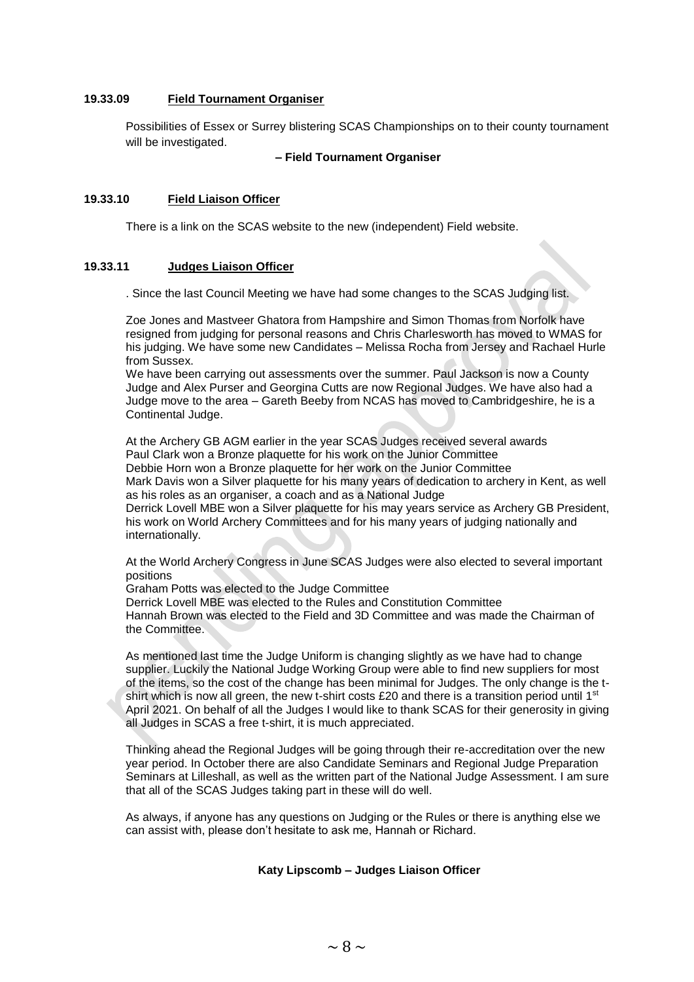#### **19.33.09 Field Tournament Organiser**

Possibilities of Essex or Surrey blistering SCAS Championships on to their county tournament will be investigated.

#### **– Field Tournament Organiser**

#### **19.33.10 Field Liaison Officer**

There is a link on the SCAS website to the new (independent) Field website.

#### **19.33.11 Judges Liaison Officer**

. Since the last Council Meeting we have had some changes to the SCAS Judging list.

Zoe Jones and Mastveer Ghatora from Hampshire and Simon Thomas from Norfolk have resigned from judging for personal reasons and Chris Charlesworth has moved to WMAS for his judging. We have some new Candidates – Melissa Rocha from Jersey and Rachael Hurle from Sussex.

We have been carrying out assessments over the summer. Paul Jackson is now a County Judge and Alex Purser and Georgina Cutts are now Regional Judges. We have also had a Judge move to the area – Gareth Beeby from NCAS has moved to Cambridgeshire, he is a Continental Judge.

At the Archery GB AGM earlier in the year SCAS Judges received several awards Paul Clark won a Bronze plaquette for his work on the Junior Committee Debbie Horn won a Bronze plaquette for her work on the Junior Committee Mark Davis won a Silver plaquette for his many years of dedication to archery in Kent, as well as his roles as an organiser, a coach and as a National Judge Derrick Lovell MBE won a Silver plaquette for his may years service as Archery GB President, his work on World Archery Committees and for his many years of judging nationally and internationally.

At the World Archery Congress in June SCAS Judges were also elected to several important positions

Graham Potts was elected to the Judge Committee Derrick Lovell MBE was elected to the Rules and Constitution Committee Hannah Brown was elected to the Field and 3D Committee and was made the Chairman of the Committee.

As mentioned last time the Judge Uniform is changing slightly as we have had to change supplier. Luckily the National Judge Working Group were able to find new suppliers for most of the items, so the cost of the change has been minimal for Judges. The only change is the tshirt which is now all green, the new t-shirt costs £20 and there is a transition period until 1<sup>st</sup> April 2021. On behalf of all the Judges I would like to thank SCAS for their generosity in giving all Judges in SCAS a free t-shirt, it is much appreciated.

Thinking ahead the Regional Judges will be going through their re-accreditation over the new year period. In October there are also Candidate Seminars and Regional Judge Preparation Seminars at Lilleshall, as well as the written part of the National Judge Assessment. I am sure that all of the SCAS Judges taking part in these will do well.

As always, if anyone has any questions on Judging or the Rules or there is anything else we can assist with, please don't hesitate to ask me, Hannah or Richard.

#### **Katy Lipscomb – Judges Liaison Officer**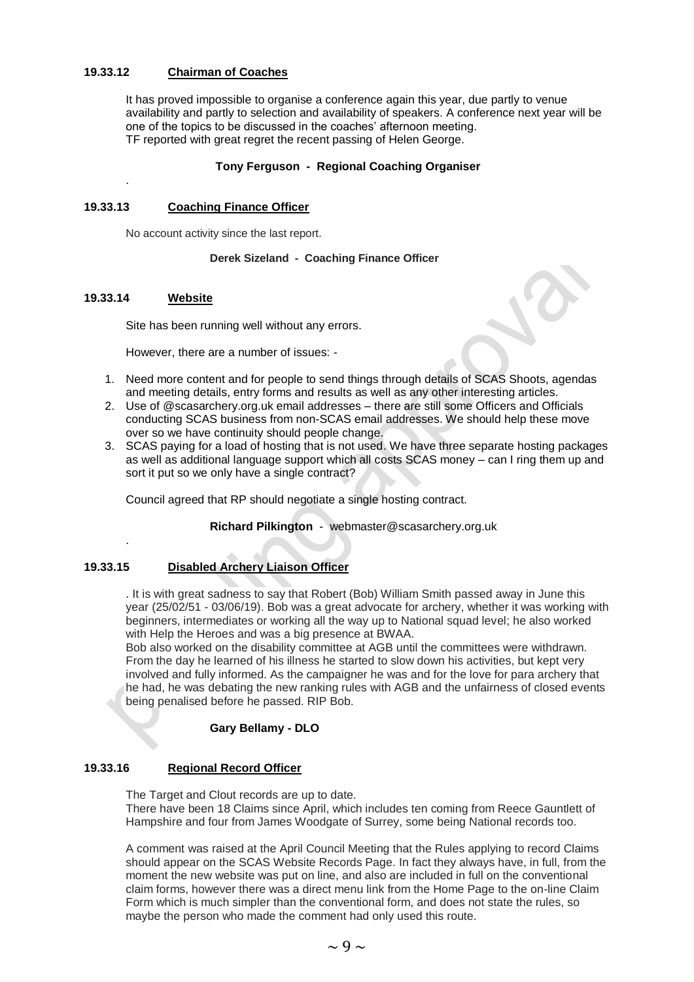#### **19.33.12 Chairman of Coaches**

It has proved impossible to organise a conference again this year, due partly to venue availability and partly to selection and availability of speakers. A conference next year will be one of the topics to be discussed in the coaches' afternoon meeting. TF reported with great regret the recent passing of Helen George.

#### **Tony Ferguson - Regional Coaching Organiser**

#### **19.33.13 Coaching Finance Officer**

No account activity since the last report.

#### **Derek Sizeland - Coaching Finance Officer**

#### **19.33.14 Website**

.

.

Site has been running well without any errors.

However, there are a number of issues: -

- 1. Need more content and for people to send things through details of SCAS Shoots, agendas and meeting details, entry forms and results as well as any other interesting articles.
- 2. Use of @scasarchery.org.uk email addresses there are still some Officers and Officials conducting SCAS business from non-SCAS email addresses. We should help these move over so we have continuity should people change.
- 3. SCAS paying for a load of hosting that is not used. We have three separate hosting packages as well as additional language support which all costs SCAS money – can I ring them up and sort it put so we only have a single contract?

Council agreed that RP should negotiate a single hosting contract.

**Richard Pilkington** - webmaster@scasarchery.org.uk

#### **19.33.15 Disabled Archery Liaison Officer**

. It is with great sadness to say that Robert (Bob) William Smith passed away in June this year (25/02/51 - 03/06/19). Bob was a great advocate for archery, whether it was working with beginners, intermediates or working all the way up to National squad level; he also worked with Help the Heroes and was a big presence at BWAA.

Bob also worked on the disability committee at AGB until the committees were withdrawn. From the day he learned of his illness he started to slow down his activities, but kept very involved and fully informed. As the campaigner he was and for the love for para archery that he had, he was debating the new ranking rules with AGB and the unfairness of closed events being penalised before he passed. RIP Bob.

#### **Gary Bellamy - DLO**

#### **19.33.16 Regional Record Officer**

The Target and Clout records are up to date. There have been 18 Claims since April, which includes ten coming from Reece Gauntlett of Hampshire and four from James Woodgate of Surrey, some being National records too.

A comment was raised at the April Council Meeting that the Rules applying to record Claims should appear on the SCAS Website Records Page. In fact they always have, in full, from the moment the new website was put on line, and also are included in full on the conventional claim forms, however there was a direct menu link from the Home Page to the on-line Claim Form which is much simpler than the conventional form, and does not state the rules, so maybe the person who made the comment had only used this route.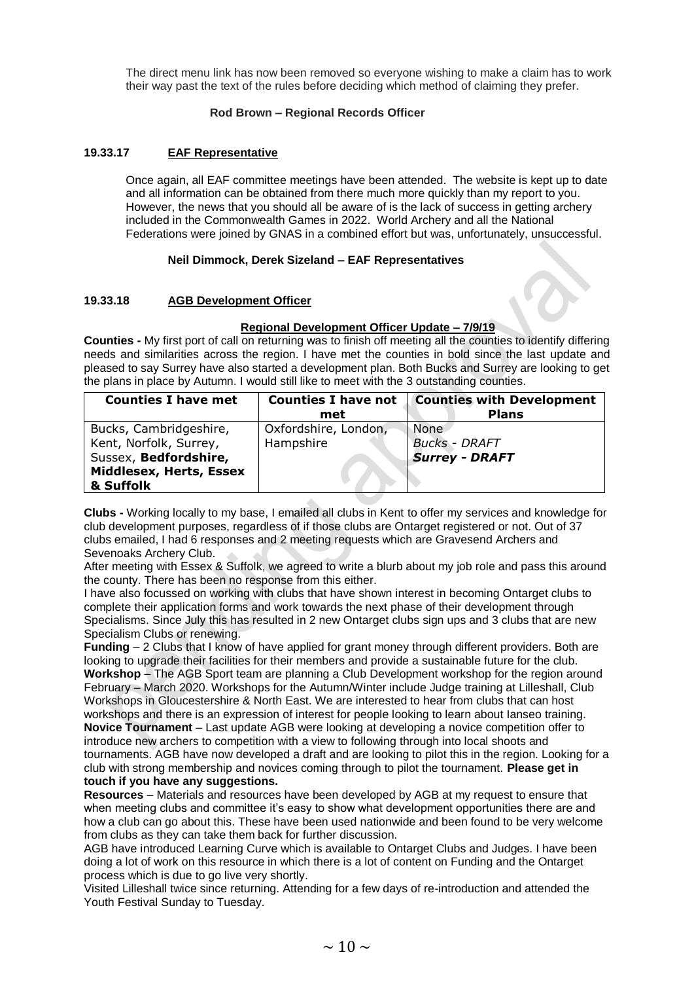The direct menu link has now been removed so everyone wishing to make a claim has to work their way past the text of the rules before deciding which method of claiming they prefer.

#### **Rod Brown – Regional Records Officer**

#### **19.33.17 EAF Representative**

Once again, all EAF committee meetings have been attended. The website is kept up to date and all information can be obtained from there much more quickly than my report to you. However, the news that you should all be aware of is the lack of success in getting archery included in the Commonwealth Games in 2022. World Archery and all the National Federations were joined by GNAS in a combined effort but was, unfortunately, unsuccessful.

#### **Neil Dimmock, Derek Sizeland – EAF Representatives**

#### **19.33.18 AGB Development Officer**

#### **Regional Development Officer Update – 7/9/19**

**Counties -** My first port of call on returning was to finish off meeting all the counties to identify differing needs and similarities across the region. I have met the counties in bold since the last update and pleased to say Surrey have also started a development plan. Both Bucks and Surrey are looking to get the plans in place by Autumn. I would still like to meet with the 3 outstanding counties.

| <b>Counties I have met</b> | <b>Counties I have not</b> | <b>Counties with Development</b> |  |  |
|----------------------------|----------------------------|----------------------------------|--|--|
|                            | met                        | <b>Plans</b>                     |  |  |
| Bucks, Cambridgeshire,     | Oxfordshire, London,       | None                             |  |  |
| Kent, Norfolk, Surrey,     | Hampshire                  | <b>Bucks - DRAFT</b>             |  |  |
| Sussex, Bedfordshire,      |                            | <b>Surrey - DRAFT</b>            |  |  |
| Middlesex, Herts, Essex    |                            |                                  |  |  |
| & Suffolk                  |                            |                                  |  |  |

**Clubs -** Working locally to my base, I emailed all clubs in Kent to offer my services and knowledge for club development purposes, regardless of if those clubs are Ontarget registered or not. Out of 37 clubs emailed, I had 6 responses and 2 meeting requests which are Gravesend Archers and Sevenoaks Archery Club.

After meeting with Essex & Suffolk, we agreed to write a blurb about my job role and pass this around the county. There has been no response from this either.

I have also focussed on working with clubs that have shown interest in becoming Ontarget clubs to complete their application forms and work towards the next phase of their development through Specialisms. Since July this has resulted in 2 new Ontarget clubs sign ups and 3 clubs that are new Specialism Clubs or renewing.

**Funding** – 2 Clubs that I know of have applied for grant money through different providers. Both are looking to upgrade their facilities for their members and provide a sustainable future for the club. **Workshop** – The AGB Sport team are planning a Club Development workshop for the region around February – March 2020. Workshops for the Autumn/Winter include Judge training at Lilleshall, Club Workshops in Gloucestershire & North East. We are interested to hear from clubs that can host workshops and there is an expression of interest for people looking to learn about Ianseo training. **Novice Tournament** – Last update AGB were looking at developing a novice competition offer to introduce new archers to competition with a view to following through into local shoots and tournaments. AGB have now developed a draft and are looking to pilot this in the region. Looking for a club with strong membership and novices coming through to pilot the tournament. **Please get in touch if you have any suggestions.**

**Resources** – Materials and resources have been developed by AGB at my request to ensure that when meeting clubs and committee it's easy to show what development opportunities there are and how a club can go about this. These have been used nationwide and been found to be very welcome from clubs as they can take them back for further discussion.

AGB have introduced Learning Curve which is available to Ontarget Clubs and Judges. I have been doing a lot of work on this resource in which there is a lot of content on Funding and the Ontarget process which is due to go live very shortly.

Visited Lilleshall twice since returning. Attending for a few days of re-introduction and attended the Youth Festival Sunday to Tuesday.